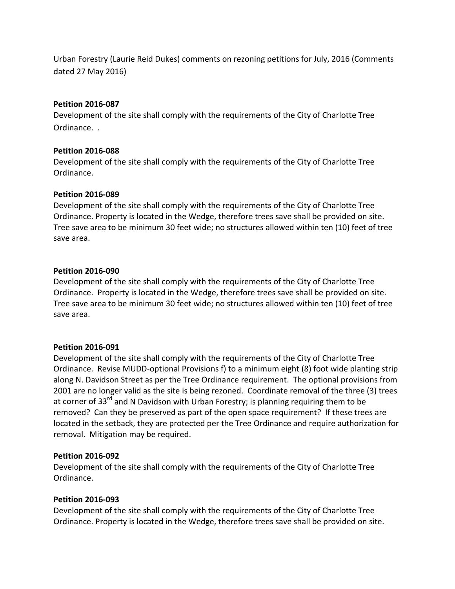Urban Forestry (Laurie Reid Dukes) comments on rezoning petitions for July, 2016 (Comments dated 27 May 2016)

## **Petition 2016-087**

Development of the site shall comply with the requirements of the City of Charlotte Tree Ordinance. .

# **Petition 2016-088**

Development of the site shall comply with the requirements of the City of Charlotte Tree Ordinance.

# **Petition 2016-089**

Development of the site shall comply with the requirements of the City of Charlotte Tree Ordinance. Property is located in the Wedge, therefore trees save shall be provided on site. Tree save area to be minimum 30 feet wide; no structures allowed within ten (10) feet of tree save area.

## **Petition 2016-090**

Development of the site shall comply with the requirements of the City of Charlotte Tree Ordinance. Property is located in the Wedge, therefore trees save shall be provided on site. Tree save area to be minimum 30 feet wide; no structures allowed within ten (10) feet of tree save area.

#### **Petition 2016-091**

Development of the site shall comply with the requirements of the City of Charlotte Tree Ordinance. Revise MUDD-optional Provisions f) to a minimum eight (8) foot wide planting strip along N. Davidson Street as per the Tree Ordinance requirement. The optional provisions from 2001 are no longer valid as the site is being rezoned. Coordinate removal of the three (3) trees at corner of 33<sup>rd</sup> and N Davidson with Urban Forestry; is planning requiring them to be removed? Can they be preserved as part of the open space requirement? If these trees are located in the setback, they are protected per the Tree Ordinance and require authorization for removal. Mitigation may be required.

#### **Petition 2016-092**

Development of the site shall comply with the requirements of the City of Charlotte Tree Ordinance.

#### **Petition 2016-093**

Development of the site shall comply with the requirements of the City of Charlotte Tree Ordinance. Property is located in the Wedge, therefore trees save shall be provided on site.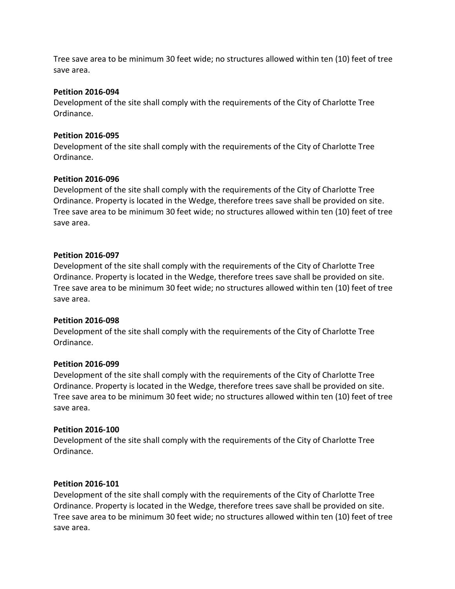Tree save area to be minimum 30 feet wide; no structures allowed within ten (10) feet of tree save area.

## **Petition 2016-094**

Development of the site shall comply with the requirements of the City of Charlotte Tree Ordinance.

## **Petition 2016-095**

Development of the site shall comply with the requirements of the City of Charlotte Tree Ordinance.

## **Petition 2016-096**

Development of the site shall comply with the requirements of the City of Charlotte Tree Ordinance. Property is located in the Wedge, therefore trees save shall be provided on site. Tree save area to be minimum 30 feet wide; no structures allowed within ten (10) feet of tree save area.

## **Petition 2016-097**

Development of the site shall comply with the requirements of the City of Charlotte Tree Ordinance. Property is located in the Wedge, therefore trees save shall be provided on site. Tree save area to be minimum 30 feet wide; no structures allowed within ten (10) feet of tree save area.

#### **Petition 2016-098**

Development of the site shall comply with the requirements of the City of Charlotte Tree Ordinance.

#### **Petition 2016-099**

Development of the site shall comply with the requirements of the City of Charlotte Tree Ordinance. Property is located in the Wedge, therefore trees save shall be provided on site. Tree save area to be minimum 30 feet wide; no structures allowed within ten (10) feet of tree save area.

# **Petition 2016-100**

Development of the site shall comply with the requirements of the City of Charlotte Tree Ordinance.

#### **Petition 2016-101**

Development of the site shall comply with the requirements of the City of Charlotte Tree Ordinance. Property is located in the Wedge, therefore trees save shall be provided on site. Tree save area to be minimum 30 feet wide; no structures allowed within ten (10) feet of tree save area.